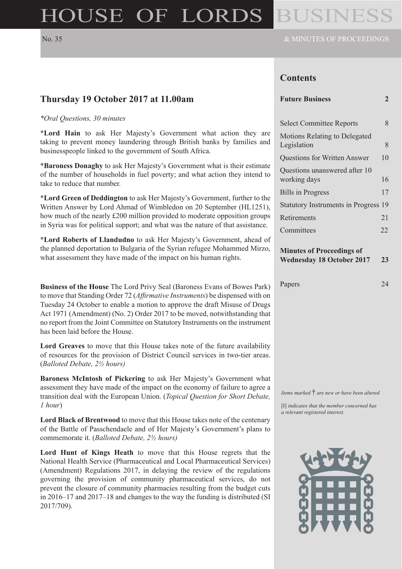# HOUSE OF LORDS BUSINE

#### **Contents**

#### **Future Business 2**

| <b>Select Committee Reports</b>                     | 8  |
|-----------------------------------------------------|----|
| <b>Motions Relating to Delegated</b><br>Legislation | 8  |
| <b>Questions for Written Answer</b>                 | 10 |
| Questions unanswered after 10<br>working days       | 16 |
| <b>Bills in Progress</b>                            | 17 |
| Statutory Instruments in Progress 19                |    |
| Retirements                                         | 21 |
| Committees                                          | フフ |

#### **Minutes of Proceedings of Wednesday 18 October 2017 23**

| Papers | 24 |
|--------|----|

#### **Thursday 19 October 2017 at 11.00am**

#### *\*Oral Questions, 30 minutes*

\***Lord Hain** to ask Her Majesty's Government what action they are taking to prevent money laundering through British banks by families and businesspeople linked to the government of South Africa.

\***Baroness Donaghy** to ask Her Majesty's Government what is their estimate of the number of households in fuel poverty; and what action they intend to take to reduce that number.

\***Lord Green of Deddington** to ask Her Majesty's Government, further to the Written Answer by Lord Ahmad of Wimbledon on 20 September (HL1251), how much of the nearly £200 million provided to moderate opposition groups in Syria was for political support; and what was the nature of that assistance.

\***Lord Roberts of Llandudno** to ask Her Majesty's Government, ahead of the planned deportation to Bulgaria of the Syrian refugee Mohammed Mirzo, what assessment they have made of the impact on his human rights.

**Business of the House** The Lord Privy Seal (Baroness Evans of Bowes Park) to move that Standing Order 72 (*Affirmative Instruments*) be dispensed with on Tuesday 24 October to enable a motion to approve the draft Misuse of Drugs Act 1971 (Amendment) (No. 2) Order 2017 to be moved, notwithstanding that no report from the Joint Committee on Statutory Instruments on the instrument has been laid before the House.

**Lord Greaves** to move that this House takes note of the future availability of resources for the provision of District Council services in two-tier areas. (*Balloted Debate, 2½ hours)*

**Baroness McIntosh of Pickering** to ask Her Majesty's Government what assessment they have made of the impact on the economy of failure to agree a transition deal with the European Union. (*Topical Question for Short Debate, 1 hour*)

**Lord Black of Brentwood** to move that this House takes note of the centenary of the Battle of Passchendaele and of Her Majesty's Government's plans to commemorate it. (*Balloted Debate, 2½ hours)*

**Lord Hunt of Kings Heath** to move that this House regrets that the National Health Service (Pharmaceutical and Local Pharmaceutical Services) (Amendment) Regulations 2017, in delaying the review of the regulations governing the provision of community pharmaceutical services, do not prevent the closure of community pharmacies resulting from the budget cuts in 2016–17 and 2017–18 and changes to the way the funding is distributed (SI 2017/709).

*Items marked* † *are new or have been altered*

[I] *indicates that the member concerned has a relevant registered interest.*

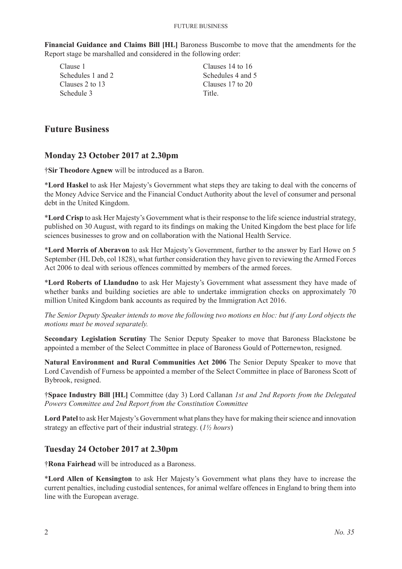**Financial Guidance and Claims Bill [HL]** Baroness Buscombe to move that the amendments for the Report stage be marshalled and considered in the following order:

Clause 1 Schedules 1 and 2 Clauses 2 to 13 Schedule 3

Clauses 14 to 16 Schedules 4 and 5 Clauses 17 to 20 Title.

# **Future Business**

#### **Monday 23 October 2017 at 2.30pm**

†**Sir Theodore Agnew** will be introduced as a Baron.

\***Lord Haskel** to ask Her Majesty's Government what steps they are taking to deal with the concerns of the Money Advice Service and the Financial Conduct Authority about the level of consumer and personal debt in the United Kingdom.

\***Lord Crisp** to ask Her Majesty's Government what is their response to the life science industrial strategy, published on 30 August, with regard to its findings on making the United Kingdom the best place for life sciences businesses to grow and on collaboration with the National Health Service.

\***Lord Morris of Aberavon** to ask Her Majesty's Government, further to the answer by Earl Howe on 5 September (HL Deb, col 1828), what further consideration they have given to reviewing the Armed Forces Act 2006 to deal with serious offences committed by members of the armed forces.

\***Lord Roberts of Llandudno** to ask Her Majesty's Government what assessment they have made of whether banks and building societies are able to undertake immigration checks on approximately 70 million United Kingdom bank accounts as required by the Immigration Act 2016.

*The Senior Deputy Speaker intends to move the following two motions en bloc: but if any Lord objects the motions must be moved separately.*

**Secondary Legislation Scrutiny** The Senior Deputy Speaker to move that Baroness Blackstone be appointed a member of the Select Committee in place of Baroness Gould of Potternewton, resigned.

**Natural Environment and Rural Communities Act 2006** The Senior Deputy Speaker to move that Lord Cavendish of Furness be appointed a member of the Select Committee in place of Baroness Scott of Bybrook, resigned.

†**Space Industry Bill [HL]** Committee (day 3) Lord Callanan *1st and 2nd Reports from the Delegated Powers Committee and 2nd Report from the Constitution Committee*

**Lord Patel** to ask Her Majesty's Government what plans they have for making their science and innovation strategy an effective part of their industrial strategy. (*1½ hours*)

#### **Tuesday 24 October 2017 at 2.30pm**

†**Rona Fairhead** will be introduced as a Baroness.

\***Lord Allen of Kensington** to ask Her Majesty's Government what plans they have to increase the current penalties, including custodial sentences, for animal welfare offences in England to bring them into line with the European average.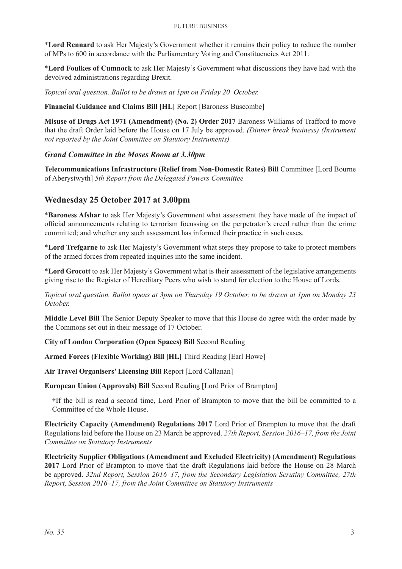\***Lord Rennard** to ask Her Majesty's Government whether it remains their policy to reduce the number of MPs to 600 in accordance with the Parliamentary Voting and Constituencies Act 2011.

\***Lord Foulkes of Cumnock** to ask Her Majesty's Government what discussions they have had with the devolved administrations regarding Brexit.

*Topical oral question. Ballot to be drawn at 1pm on Friday 20 October.*

#### **Financial Guidance and Claims Bill [HL]** Report [Baroness Buscombe]

**Misuse of Drugs Act 1971 (Amendment) (No. 2) Order 2017** Baroness Williams of Trafford to move that the draft Order laid before the House on 17 July be approved. *(Dinner break business) (Instrument not reported by the Joint Committee on Statutory Instruments)*

#### *Grand Committee in the Moses Room at 3.30pm*

**Telecommunications Infrastructure (Relief from Non-Domestic Rates) Bill** Committee [Lord Bourne of Aberystwyth] *5th Report from the Delegated Powers Committee*

#### **Wednesday 25 October 2017 at 3.00pm**

\***Baroness Afshar** to ask Her Majesty's Government what assessment they have made of the impact of official announcements relating to terrorism focussing on the perpetrator's creed rather than the crime committed; and whether any such assessment has informed their practice in such cases.

\***Lord Trefgarne** to ask Her Majesty's Government what steps they propose to take to protect members of the armed forces from repeated inquiries into the same incident.

\***Lord Grocott** to ask Her Majesty's Government what is their assessment of the legislative arrangements giving rise to the Register of Hereditary Peers who wish to stand for election to the House of Lords.

*Topical oral question. Ballot opens at 3pm on Thursday 19 October, to be drawn at 1pm on Monday 23 October.*

**Middle Level Bill** The Senior Deputy Speaker to move that this House do agree with the order made by the Commons set out in their message of 17 October.

**City of London Corporation (Open Spaces) Bill** Second Reading

**Armed Forces (Flexible Working) Bill [HL]** Third Reading [Earl Howe]

**Air Travel Organisers' Licensing Bill** Report [Lord Callanan]

**European Union (Approvals) Bill** Second Reading [Lord Prior of Brampton]

†If the bill is read a second time, Lord Prior of Brampton to move that the bill be committed to a Committee of the Whole House.

**Electricity Capacity (Amendment) Regulations 2017** Lord Prior of Brampton to move that the draft Regulations laid before the House on 23 March be approved. *27th Report, Session 2016–17, from the Joint Committee on Statutory Instruments*

**Electricity Supplier Obligations (Amendment and Excluded Electricity) (Amendment) Regulations 2017** Lord Prior of Brampton to move that the draft Regulations laid before the House on 28 March be approved. *32nd Report, Session 2016–17, from the Secondary Legislation Scrutiny Committee, 27th Report, Session 2016–17, from the Joint Committee on Statutory Instruments*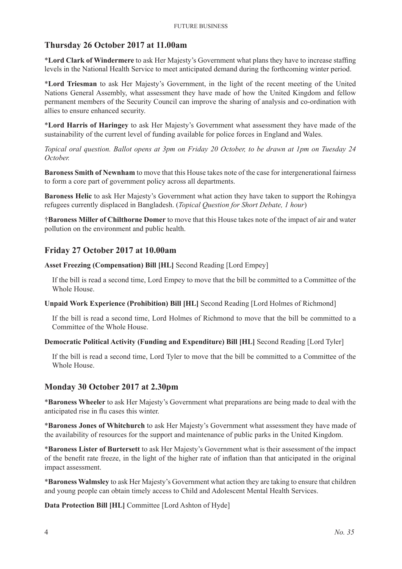#### **Thursday 26 October 2017 at 11.00am**

\***Lord Clark of Windermere** to ask Her Majesty's Government what plans they have to increase staffing levels in the National Health Service to meet anticipated demand during the forthcoming winter period.

\***Lord Triesman** to ask Her Majesty's Government, in the light of the recent meeting of the United Nations General Assembly, what assessment they have made of how the United Kingdom and fellow permanent members of the Security Council can improve the sharing of analysis and co-ordination with allies to ensure enhanced security.

\***Lord Harris of Haringey** to ask Her Majesty's Government what assessment they have made of the sustainability of the current level of funding available for police forces in England and Wales.

*Topical oral question. Ballot opens at 3pm on Friday 20 October, to be drawn at 1pm on Tuesday 24 October.*

**Baroness Smith of Newnham** to move that this House takes note of the case for intergenerational fairness to form a core part of government policy across all departments.

**Baroness Helic** to ask Her Majesty's Government what action they have taken to support the Rohingya refugees currently displaced in Bangladesh. (*Topical Question for Short Debate, 1 hour*)

†**Baroness Miller of Chilthorne Domer** to move that this House takes note of the impact of air and water pollution on the environment and public health.

#### **Friday 27 October 2017 at 10.00am**

**Asset Freezing (Compensation) Bill [HL]** Second Reading [Lord Empey]

If the bill is read a second time, Lord Empey to move that the bill be committed to a Committee of the Whole House.

**Unpaid Work Experience (Prohibition) Bill [HL]** Second Reading [Lord Holmes of Richmond]

If the bill is read a second time, Lord Holmes of Richmond to move that the bill be committed to a Committee of the Whole House.

#### **Democratic Political Activity (Funding and Expenditure) Bill [HL]** Second Reading [Lord Tyler]

If the bill is read a second time, Lord Tyler to move that the bill be committed to a Committee of the Whole House.

#### **Monday 30 October 2017 at 2.30pm**

\***Baroness Wheeler** to ask Her Majesty's Government what preparations are being made to deal with the anticipated rise in flu cases this winter.

\***Baroness Jones of Whitchurch** to ask Her Majesty's Government what assessment they have made of the availability of resources for the support and maintenance of public parks in the United Kingdom.

\***Baroness Lister of Burtersett** to ask Her Majesty's Government what is their assessment of the impact of the benefit rate freeze, in the light of the higher rate of inflation than that anticipated in the original impact assessment.

\***Baroness Walmsley** to ask Her Majesty's Government what action they are taking to ensure that children and young people can obtain timely access to Child and Adolescent Mental Health Services.

**Data Protection Bill [HL]** Committee [Lord Ashton of Hyde]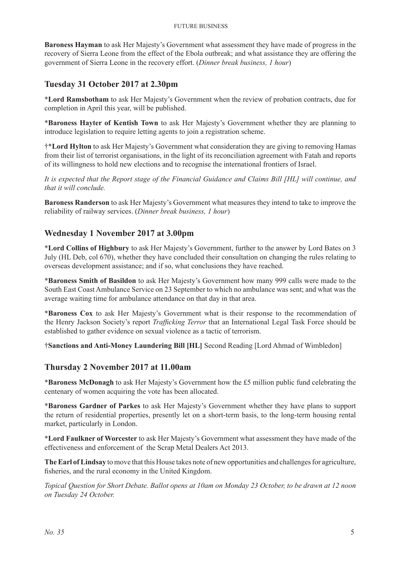**Baroness Hayman** to ask Her Majesty's Government what assessment they have made of progress in the recovery of Sierra Leone from the effect of the Ebola outbreak; and what assistance they are offering the government of Sierra Leone in the recovery effort. (*Dinner break business, 1 hour*)

#### **Tuesday 31 October 2017 at 2.30pm**

\***Lord Ramsbotham** to ask Her Majesty's Government when the review of probation contracts, due for completion in April this year, will be published.

\***Baroness Hayter of Kentish Town** to ask Her Majesty's Government whether they are planning to introduce legislation to require letting agents to join a registration scheme.

†\***Lord Hylton** to ask Her Majesty's Government what consideration they are giving to removing Hamas from their list of terrorist organisations, in the light of its reconciliation agreement with Fatah and reports of its willingness to hold new elections and to recognise the international frontiers of Israel.

*It is expected that the Report stage of the Financial Guidance and Claims Bill [HL] will continue, and that it will conclude.*

**Baroness Randerson** to ask Her Majesty's Government what measures they intend to take to improve the reliability of railway services. (*Dinner break business, 1 hour*)

#### **Wednesday 1 November 2017 at 3.00pm**

\***Lord Collins of Highbury** to ask Her Majesty's Government, further to the answer by Lord Bates on 3 July (HL Deb, col 670), whether they have concluded their consultation on changing the rules relating to overseas development assistance; and if so, what conclusions they have reached.

\***Baroness Smith of Basildon** to ask Her Majesty's Government how many 999 calls were made to the South East Coast Ambulance Service on 23 September to which no ambulance was sent; and what was the average waiting time for ambulance attendance on that day in that area.

\***Baroness Cox** to ask Her Majesty's Government what is their response to the recommendation of the Henry Jackson Society's report *Trafficking Terror* that an International Legal Task Force should be established to gather evidence on sexual violence as a tactic of terrorism.

†**Sanctions and Anti-Money Laundering Bill [HL]** Second Reading [Lord Ahmad of Wimbledon]

#### **Thursday 2 November 2017 at 11.00am**

\***Baroness McDonagh** to ask Her Majesty's Government how the £5 million public fund celebrating the centenary of women acquiring the vote has been allocated.

\***Baroness Gardner of Parkes** to ask Her Majesty's Government whether they have plans to support the return of residential properties, presently let on a short-term basis, to the long-term housing rental market, particularly in London.

\***Lord Faulkner of Worcester** to ask Her Majesty's Government what assessment they have made of the effectiveness and enforcement of the Scrap Metal Dealers Act 2013.

**The Earl of Lindsay** to move that this House takes note of new opportunities and challenges for agriculture, fisheries, and the rural economy in the United Kingdom.

*Topical Question for Short Debate. Ballot opens at 10am on Monday 23 October, to be drawn at 12 noon on Tuesday 24 October.*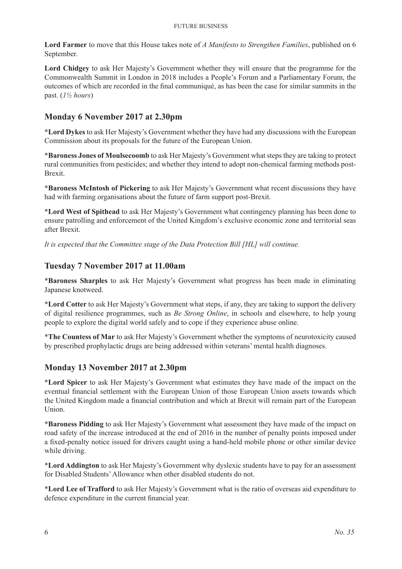**Lord Farmer** to move that this House takes note of *A Manifesto to Strengthen Families*, published on 6 September.

**Lord Chidgey** to ask Her Majesty's Government whether they will ensure that the programme for the Commonwealth Summit in London in 2018 includes a People's Forum and a Parliamentary Forum, the outcomes of which are recorded in the final communiqué, as has been the case for similar summits in the past. (*1½ hours*)

#### **Monday 6 November 2017 at 2.30pm**

\***Lord Dykes** to ask Her Majesty's Government whether they have had any discussions with the European Commission about its proposals for the future of the European Union.

\***Baroness Jones of Moulsecoomb** to ask Her Majesty's Government what steps they are taking to protect rural communities from pesticides; and whether they intend to adopt non-chemical farming methods post-Brexit.

\***Baroness McIntosh of Pickering** to ask Her Majesty's Government what recent discussions they have had with farming organisations about the future of farm support post-Brexit.

\***Lord West of Spithead** to ask Her Majesty's Government what contingency planning has been done to ensure patrolling and enforcement of the United Kingdom's exclusive economic zone and territorial seas after Brexit.

*It is expected that the Committee stage of the Data Protection Bill [HL] will continue.*

#### **Tuesday 7 November 2017 at 11.00am**

\***Baroness Sharples** to ask Her Majesty's Government what progress has been made in eliminating Japanese knotweed.

\***Lord Cotter** to ask Her Majesty's Government what steps, if any, they are taking to support the delivery of digital resilience programmes, such as *Be Strong Online*, in schools and elsewhere, to help young people to explore the digital world safely and to cope if they experience abuse online.

\***The Countess of Mar** to ask Her Majesty's Government whether the symptoms of neurotoxicity caused by prescribed prophylactic drugs are being addressed within veterans' mental health diagnoses.

#### **Monday 13 November 2017 at 2.30pm**

\***Lord Spicer** to ask Her Majesty's Government what estimates they have made of the impact on the eventual financial settlement with the European Union of those European Union assets towards which the United Kingdom made a financial contribution and which at Brexit will remain part of the European Union.

\***Baroness Pidding** to ask Her Majesty's Government what assessment they have made of the impact on road safety of the increase introduced at the end of 2016 in the number of penalty points imposed under a fixed-penalty notice issued for drivers caught using a hand-held mobile phone or other similar device while driving.

\***Lord Addington** to ask Her Majesty's Government why dyslexic students have to pay for an assessment for Disabled Students' Allowance when other disabled students do not.

\***Lord Lee of Trafford** to ask Her Majesty's Government what is the ratio of overseas aid expenditure to defence expenditure in the current financial year.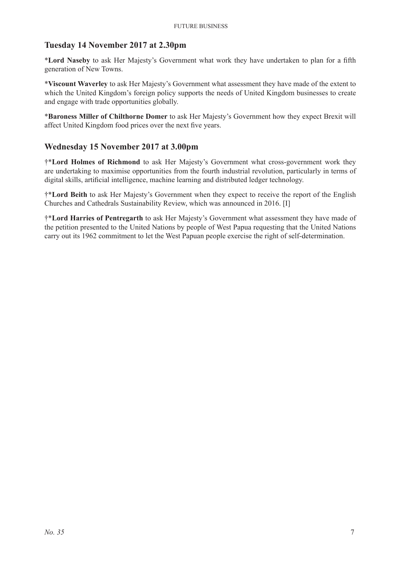#### **Tuesday 14 November 2017 at 2.30pm**

\***Lord Naseby** to ask Her Majesty's Government what work they have undertaken to plan for a fifth generation of New Towns.

\***Viscount Waverley** to ask Her Majesty's Government what assessment they have made of the extent to which the United Kingdom's foreign policy supports the needs of United Kingdom businesses to create and engage with trade opportunities globally.

\***Baroness Miller of Chilthorne Domer** to ask Her Majesty's Government how they expect Brexit will affect United Kingdom food prices over the next five years.

#### **Wednesday 15 November 2017 at 3.00pm**

†\***Lord Holmes of Richmond** to ask Her Majesty's Government what cross-government work they are undertaking to maximise opportunities from the fourth industrial revolution, particularly in terms of digital skills, artificial intelligence, machine learning and distributed ledger technology.

†\***Lord Beith** to ask Her Majesty's Government when they expect to receive the report of the English Churches and Cathedrals Sustainability Review, which was announced in 2016. [I]

†\***Lord Harries of Pentregarth** to ask Her Majesty's Government what assessment they have made of the petition presented to the United Nations by people of West Papua requesting that the United Nations carry out its 1962 commitment to let the West Papuan people exercise the right of self-determination.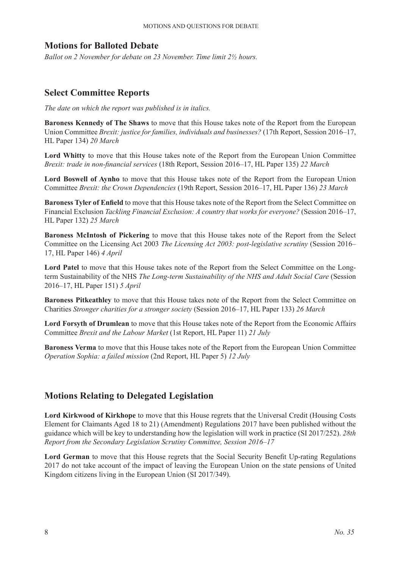#### **Motions for Balloted Debate**

*Ballot on 2 November for debate on 23 November. Time limit 2½ hours.*

#### **Select Committee Reports**

*The date on which the report was published is in italics.*

**Baroness Kennedy of The Shaws** to move that this House takes note of the Report from the European Union Committee *Brexit: justice for families, individuals and businesses?* (17th Report, Session 2016–17, HL Paper 134) *20 March*

**Lord Whitty** to move that this House takes note of the Report from the European Union Committee *Brexit: trade in non-financial services* (18th Report, Session 2016–17, HL Paper 135) *22 March*

**Lord Boswell of Aynho** to move that this House takes note of the Report from the European Union Committee *Brexit: the Crown Dependencies* (19th Report, Session 2016–17, HL Paper 136) *23 March*

**Baroness Tyler of Enfield** to move that this House takes note of the Report from the Select Committee on Financial Exclusion *Tackling Financial Exclusion: A country that works for everyone?* (Session 2016–17, HL Paper 132) *25 March*

**Baroness McIntosh of Pickering** to move that this House takes note of the Report from the Select Committee on the Licensing Act 2003 *The Licensing Act 2003: post-legislative scrutiny* (Session 2016– 17, HL Paper 146) *4 April*

**Lord Patel** to move that this House takes note of the Report from the Select Committee on the Longterm Sustainability of the NHS *The Long-term Sustainability of the NHS and Adult Social Care* (Session 2016–17, HL Paper 151) *5 April*

**Baroness Pitkeathley** to move that this House takes note of the Report from the Select Committee on Charities *Stronger charities for a stronger society* (Session 2016–17, HL Paper 133) *26 March*

**Lord Forsyth of Drumlean** to move that this House takes note of the Report from the Economic Affairs Committee *Brexit and the Labour Market* (1st Report, HL Paper 11) *21 July*

**Baroness Verma** to move that this House takes note of the Report from the European Union Committee *Operation Sophia: a failed mission* (2nd Report, HL Paper 5) *12 July*

## **Motions Relating to Delegated Legislation**

**Lord Kirkwood of Kirkhope** to move that this House regrets that the Universal Credit (Housing Costs Element for Claimants Aged 18 to 21) (Amendment) Regulations 2017 have been published without the guidance which will be key to understanding how the legislation will work in practice (SI 2017/252). *28th Report from the Secondary Legislation Scrutiny Committee, Session 2016–17*

Lord German to move that this House regrets that the Social Security Benefit Up-rating Regulations 2017 do not take account of the impact of leaving the European Union on the state pensions of United Kingdom citizens living in the European Union (SI 2017/349).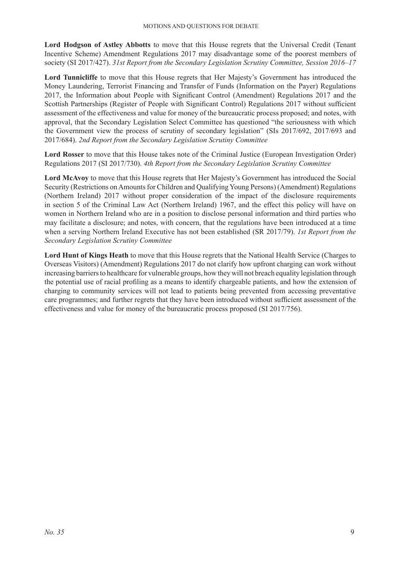Lord Hodgson of Astley Abbotts to move that this House regrets that the Universal Credit (Tenant Incentive Scheme) Amendment Regulations 2017 may disadvantage some of the poorest members of society (SI 2017/427). *31st Report from the Secondary Legislation Scrutiny Committee, Session 2016–17*

**Lord Tunnicliffe** to move that this House regrets that Her Majesty's Government has introduced the Money Laundering, Terrorist Financing and Transfer of Funds (Information on the Payer) Regulations 2017, the Information about People with Significant Control (Amendment) Regulations 2017 and the Scottish Partnerships (Register of People with Significant Control) Regulations 2017 without sufficient assessment of the effectiveness and value for money of the bureaucratic process proposed; and notes, with approval, that the Secondary Legislation Select Committee has questioned "the seriousness with which the Government view the process of scrutiny of secondary legislation" (SIs 2017/692, 2017/693 and 2017/684). *2nd Report from the Secondary Legislation Scrutiny Committee*

**Lord Rosser** to move that this House takes note of the Criminal Justice (European Investigation Order) Regulations 2017 (SI 2017/730). *4th Report from the Secondary Legislation Scrutiny Committee*

**Lord McAvoy** to move that this House regrets that Her Majesty's Government has introduced the Social Security (Restrictions on Amounts for Children and Qualifying Young Persons) (Amendment) Regulations (Northern Ireland) 2017 without proper consideration of the impact of the disclosure requirements in section 5 of the Criminal Law Act (Northern Ireland) 1967, and the effect this policy will have on women in Northern Ireland who are in a position to disclose personal information and third parties who may facilitate a disclosure; and notes, with concern, that the regulations have been introduced at a time when a serving Northern Ireland Executive has not been established (SR 2017/79). *1st Report from the Secondary Legislation Scrutiny Committee*

**Lord Hunt of Kings Heath** to move that this House regrets that the National Health Service (Charges to Overseas Visitors) (Amendment) Regulations 2017 do not clarify how upfront charging can work without increasing barriers to healthcare for vulnerable groups, how they will not breach equality legislation through the potential use of racial profiling as a means to identify chargeable patients, and how the extension of charging to community services will not lead to patients being prevented from accessing preventative care programmes; and further regrets that they have been introduced without sufficient assessment of the effectiveness and value for money of the bureaucratic process proposed (SI 2017/756).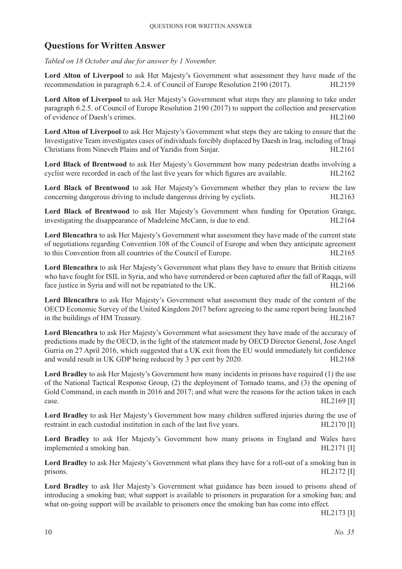# **Questions for Written Answer**

*Tabled on 18 October and due for answer by 1 November.*

Lord Alton of Liverpool to ask Her Majesty's Government what assessment they have made of the recommendation in paragraph 6.2.4. of Council of Europe Resolution 2190 (2017). HL2159

**Lord Alton of Liverpool** to ask Her Majesty's Government what steps they are planning to take under paragraph 6.2.5. of Council of Europe Resolution 2190 (2017) to support the collection and preservation of evidence of Daesh's crimes. HL2160

**Lord Alton of Liverpool** to ask Her Majesty's Government what steps they are taking to ensure that the Investigative Team investigates cases of individuals forcibly displaced by Daesh in Iraq, including of Iraqi Christians from Nineveh Plains and of Yazidis from Sinjar. HL2161

**Lord Black of Brentwood** to ask Her Majesty's Government how many pedestrian deaths involving a cyclist were recorded in each of the last five years for which figures are available. HL2162

Lord Black of Brentwood to ask Her Majesty's Government whether they plan to review the law concerning dangerous driving to include dangerous driving by cyclists. HL2163

**Lord Black of Brentwood** to ask Her Majesty's Government when funding for Operation Grange, investigating the disappearance of Madeleine McCann, is due to end. HL2164

**Lord Blencathra** to ask Her Majesty's Government what assessment they have made of the current state of negotiations regarding Convention 108 of the Council of Europe and when they anticipate agreement to this Convention from all countries of the Council of Europe. HL2165

**Lord Blencathra** to ask Her Majesty's Government what plans they have to ensure that British citizens who have fought for ISIL in Syria, and who have surrendered or been captured after the fall of Raqqa, will face justice in Syria and will not be repatriated to the UK. HL2166

**Lord Blencathra** to ask Her Majesty's Government what assessment they made of the content of the OECD Economic Survey of the United Kingdom 2017 before agreeing to the same report being launched in the buildings of HM Treasury. HL2167

**Lord Blencathra** to ask Her Majesty's Government what assessment they have made of the accuracy of predictions made by the OECD, in the light of the statement made by OECD Director General, Jose Angel Gurria on 27 April 2016, which suggested that a UK exit from the EU would immediately hit confidence and would result in UK GDP being reduced by 3 per cent by 2020. HL2168

**Lord Bradley** to ask Her Majesty's Government how many incidents in prisons have required (1) the use of the National Tactical Response Group, (2) the deployment of Tornado teams, and (3) the opening of Gold Command, in each month in 2016 and 2017; and what were the reasons for the action taken in each case.  $HL2169$  [I]

**Lord Bradley** to ask Her Majesty's Government how many children suffered injuries during the use of restraint in each custodial institution in each of the last five years. HL2170 [I]

**Lord Bradley** to ask Her Majesty's Government how many prisons in England and Wales have implemented a smoking ban.  $HL2171$  [I]

**Lord Bradley** to ask Her Majesty's Government what plans they have for a roll-out of a smoking ban in prisons. HL2172 [I]

**Lord Bradley** to ask Her Majesty's Government what guidance has been issued to prisons ahead of introducing a smoking ban; what support is available to prisoners in preparation for a smoking ban; and what on-going support will be available to prisoners once the smoking ban has come into effect.

HL2173 [I]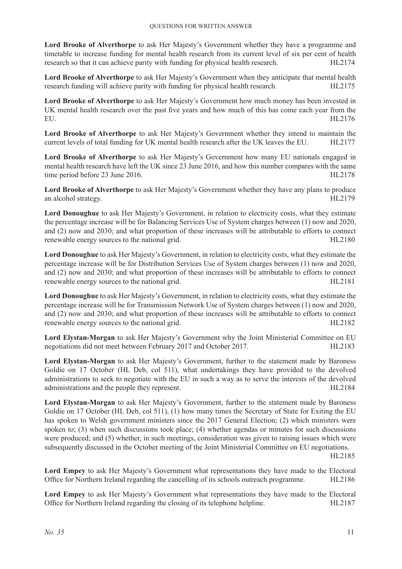**Lord Brooke of Alverthorpe** to ask Her Majesty's Government whether they have a programme and timetable to increase funding for mental health research from its current level of six per cent of health research so that it can achieve parity with funding for physical health research. HL2174

**Lord Brooke of Alverthorpe** to ask Her Majesty's Government when they anticipate that mental health research funding will achieve parity with funding for physical health research. HL2175

**Lord Brooke of Alverthorpe** to ask Her Majesty's Government how much money has been invested in UK mental health research over the past five years and how much of this has come each year from the EU. HL2176

**Lord Brooke of Alverthorpe** to ask Her Majesty's Government whether they intend to maintain the current levels of total funding for UK mental health research after the UK leaves the EU. HL2177

**Lord Brooke of Alverthorpe** to ask Her Majesty's Government how many EU nationals engaged in mental health research have left the UK since 23 June 2016, and how this number compares with the same time period before 23 June 2016. HL2178

**Lord Brooke of Alverthorpe** to ask Her Majesty's Government whether they have any plans to produce an alcohol strategy. HL2179

Lord Donoughue to ask Her Majesty's Government, in relation to electricity costs, what they estimate the percentage increase will be for Balancing Services Use of System charges between (1) now and 2020, and (2) now and 2030; and what proportion of these increases will be attributable to efforts to connect renewable energy sources to the national grid. HL2180

**Lord Donoughue** to ask Her Majesty's Government, in relation to electricity costs, what they estimate the percentage increase will be for Distribution Services Use of System charges between (1) now and 2020, and (2) now and 2030; and what proportion of these increases will be attributable to efforts to connect renewable energy sources to the national grid. HL2181

**Lord Donoughue** to ask Her Majesty's Government, in relation to electricity costs, what they estimate the percentage increase will be for Transmission Network Use of System charges between (1) now and 2020, and (2) now and 2030; and what proportion of these increases will be attributable to efforts to connect renewable energy sources to the national grid. HL2182

**Lord Elystan-Morgan** to ask Her Majesty's Government why the Joint Ministerial Committee on EU negotiations did not meet between February 2017 and October 2017. HL2183

**Lord Elystan-Morgan** to ask Her Majesty's Government, further to the statement made by Baroness Goldie on 17 October (HL Deb, col 511), what undertakings they have provided to the devolved administrations to seek to negotiate with the EU in such a way as to serve the interests of the devolved administrations and the people they represent. HL2184

**Lord Elystan-Morgan** to ask Her Majesty's Government, further to the statement made by Baroness Goldie on 17 October (HL Deb, col 511), (1) how many times the Secretary of State for Exiting the EU has spoken to Welsh government ministers since the 2017 General Election; (2) which ministers were spoken to; (3) when such discussions took place; (4) whether agendas or minutes for such discussions were produced; and (5) whether, in such meetings, consideration was given to raising issues which were subsequently discussed in the October meeting of the Joint Ministerial Committee on EU negotiations.

HL2185

**Lord Empey** to ask Her Majesty's Government what representations they have made to the Electoral Office for Northern Ireland regarding the cancelling of its schools outreach programme. HL2186

**Lord Empey** to ask Her Majesty's Government what representations they have made to the Electoral Office for Northern Ireland regarding the closing of its telephone helpline. HL2187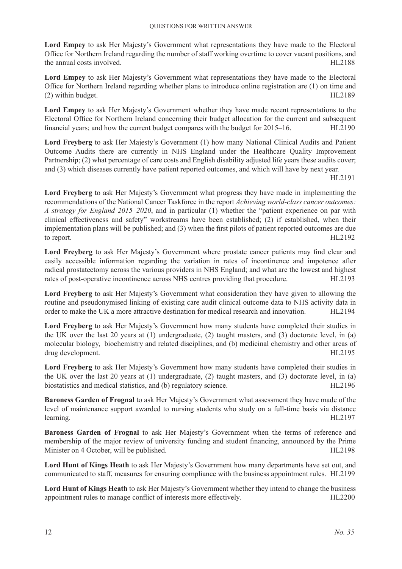**Lord Empey** to ask Her Majesty's Government what representations they have made to the Electoral Office for Northern Ireland regarding the number of staff working overtime to cover vacant positions, and the annual costs involved. The state of the annual costs involved.

**Lord Empey** to ask Her Majesty's Government what representations they have made to the Electoral Office for Northern Ireland regarding whether plans to introduce online registration are (1) on time and (2) within budget. HL2189

**Lord Empey** to ask Her Majesty's Government whether they have made recent representations to the Electoral Office for Northern Ireland concerning their budget allocation for the current and subsequent financial years; and how the current budget compares with the budget for 2015–16. HL2190

**Lord Freyberg** to ask Her Majesty's Government (1) how many National Clinical Audits and Patient Outcome Audits there are currently in NHS England under the Healthcare Quality Improvement Partnership; (2) what percentage of care costs and English disability adjusted life years these audits cover; and (3) which diseases currently have patient reported outcomes, and which will have by next year.

HL2191

**Lord Freyberg** to ask Her Majesty's Government what progress they have made in implementing the recommendations of the National Cancer Taskforce in the report *Achieving world-class cancer outcomes: A strategy for England 2015–2020*, and in particular (1) whether the "patient experience on par with clinical effectiveness and safety" workstreams have been established; (2) if established, when their implementation plans will be published; and (3) when the first pilots of patient reported outcomes are due to report. HL2192

**Lord Freyberg** to ask Her Majesty's Government where prostate cancer patients may find clear and easily accessible information regarding the variation in rates of incontinence and impotence after radical prostatectomy across the various providers in NHS England; and what are the lowest and highest rates of post-operative incontinence across NHS centres providing that procedure. HL2193

**Lord Freyberg** to ask Her Majesty's Government what consideration they have given to allowing the routine and pseudonymised linking of existing care audit clinical outcome data to NHS activity data in order to make the UK a more attractive destination for medical research and innovation. HL2194

**Lord Freyberg** to ask Her Majesty's Government how many students have completed their studies in the UK over the last 20 years at (1) undergraduate, (2) taught masters, and (3) doctorate level, in (a) molecular biology, biochemistry and related disciplines, and (b) medicinal chemistry and other areas of drug development. HL2195

**Lord Freyberg** to ask Her Majesty's Government how many students have completed their studies in the UK over the last 20 years at (1) undergraduate, (2) taught masters, and (3) doctorate level, in (a) biostatistics and medical statistics, and (b) regulatory science. HL2196

**Baroness Garden of Frognal** to ask Her Majesty's Government what assessment they have made of the level of maintenance support awarded to nursing students who study on a full-time basis via distance learning. HL2197

**Baroness Garden of Frognal** to ask Her Majesty's Government when the terms of reference and membership of the major review of university funding and student financing, announced by the Prime Minister on 4 October, will be published. HL2198

**Lord Hunt of Kings Heath** to ask Her Majesty's Government how many departments have set out, and communicated to staff, measures for ensuring compliance with the business appointment rules. HL2199

**Lord Hunt of Kings Heath** to ask Her Majesty's Government whether they intend to change the business appointment rules to manage conflict of interests more effectively. HL2200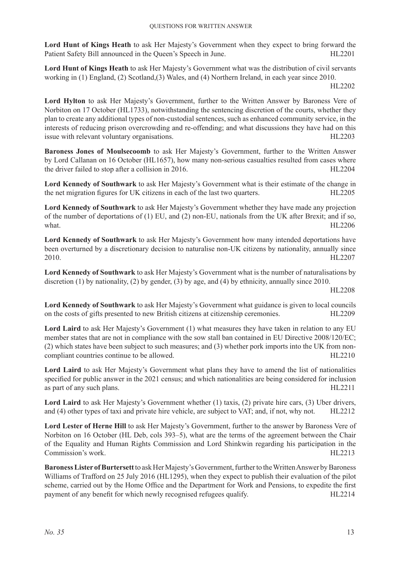**Lord Hunt of Kings Heath** to ask Her Majesty's Government when they expect to bring forward the Patient Safety Bill announced in the Queen's Speech in June. HL2201

**Lord Hunt of Kings Heath** to ask Her Majesty's Government what was the distribution of civil servants working in (1) England, (2) Scotland,(3) Wales, and (4) Northern Ireland, in each year since 2010.

HL2202

**Lord Hylton** to ask Her Majesty's Government, further to the Written Answer by Baroness Vere of Norbiton on 17 October (HL1733), notwithstanding the sentencing discretion of the courts, whether they plan to create any additional types of non-custodial sentences, such as enhanced community service, in the interests of reducing prison overcrowding and re-offending; and what discussions they have had on this issue with relevant voluntary organisations. HL2203

**Baroness Jones of Moulsecoomb** to ask Her Majesty's Government, further to the Written Answer by Lord Callanan on 16 October (HL1657), how many non-serious casualties resulted from cases where the driver failed to stop after a collision in 2016. HL2204

**Lord Kennedy of Southwark** to ask Her Majesty's Government what is their estimate of the change in the net migration figures for UK citizens in each of the last two quarters. HL2205

**Lord Kennedy of Southwark** to ask Her Majesty's Government whether they have made any projection of the number of deportations of (1) EU, and (2) non-EU, nationals from the UK after Brexit; and if so, what. HL2206

**Lord Kennedy of Southwark** to ask Her Majesty's Government how many intended deportations have been overturned by a discretionary decision to naturalise non-UK citizens by nationality, annually since 2010. HL2207

**Lord Kennedy of Southwark** to ask Her Majesty's Government what is the number of naturalisations by discretion (1) by nationality, (2) by gender, (3) by age, and (4) by ethnicity, annually since 2010.

HL2208

**Lord Kennedy of Southwark** to ask Her Majesty's Government what guidance is given to local councils on the costs of gifts presented to new British citizens at citizenship ceremonies. HL2209

**Lord Laird** to ask Her Majesty's Government (1) what measures they have taken in relation to any EU member states that are not in compliance with the sow stall ban contained in EU Directive 2008/120/EC; (2) which states have been subject to such measures; and (3) whether pork imports into the UK from noncompliant countries continue to be allowed. HL2210

**Lord Laird** to ask Her Majesty's Government what plans they have to amend the list of nationalities specified for public answer in the 2021 census; and which nationalities are being considered for inclusion as part of any such plans. HL2211

**Lord Laird** to ask Her Majesty's Government whether (1) taxis, (2) private hire cars, (3) Uber drivers, and (4) other types of taxi and private hire vehicle, are subject to VAT; and, if not, why not. HL2212

**Lord Lester of Herne Hill** to ask Her Majesty's Government, further to the answer by Baroness Vere of Norbiton on 16 October (HL Deb, cols 393–5), what are the terms of the agreement between the Chair of the Equality and Human Rights Commission and Lord Shinkwin regarding his participation in the Commission's work. HL2213

Baroness Lister of Burtersett to ask Her Majesty's Government, further to the Written Answer by Baroness Williams of Trafford on 25 July 2016 (HL1295), when they expect to publish their evaluation of the pilot scheme, carried out by the Home Office and the Department for Work and Pensions, to expedite the first payment of any benefit for which newly recognised refugees qualify. HL2214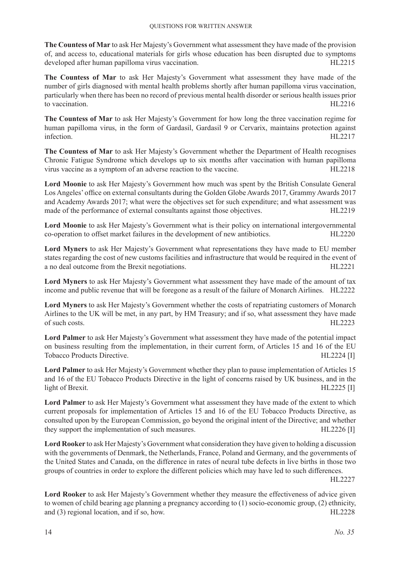**The Countess of Mar** to ask Her Majesty's Government what assessment they have made of the provision of, and access to, educational materials for girls whose education has been disrupted due to symptoms developed after human papilloma virus vaccination. HL2215

**The Countess of Mar** to ask Her Majesty's Government what assessment they have made of the number of girls diagnosed with mental health problems shortly after human papilloma virus vaccination, particularly when there has been no record of previous mental health disorder or serious health issues prior to vaccination and the vaccination of the vaccination of the vaccination of the vaccination of the vaccination

**The Countess of Mar** to ask Her Majesty's Government for how long the three vaccination regime for human papilloma virus, in the form of Gardasil, Gardasil 9 or Cervarix, maintains protection against infection. HL2217

**The Countess of Mar** to ask Her Majesty's Government whether the Department of Health recognises Chronic Fatigue Syndrome which develops up to six months after vaccination with human papilloma virus vaccine as a symptom of an adverse reaction to the vaccine. HL2218

**Lord Moonie** to ask Her Majesty's Government how much was spent by the British Consulate General Los Angeles' office on external consultants during the Golden Globe Awards 2017, Grammy Awards 2017 and Academy Awards 2017; what were the objectives set for such expenditure; and what assessment was made of the performance of external consultants against those objectives. HL2219

**Lord Moonie** to ask Her Majesty's Government what is their policy on international intergovernmental co-operation to offset market failures in the development of new antibiotics. HL2220

**Lord Myners** to ask Her Majesty's Government what representations they have made to EU member states regarding the cost of new customs facilities and infrastructure that would be required in the event of a no deal outcome from the Brexit negotiations. HL2221

**Lord Myners** to ask Her Majesty's Government what assessment they have made of the amount of tax income and public revenue that will be foregone as a result of the failure of Monarch Airlines. HL2222

**Lord Myners** to ask Her Majesty's Government whether the costs of repatriating customers of Monarch Airlines to the UK will be met, in any part, by HM Treasury; and if so, what assessment they have made of such costs. HL2223

**Lord Palmer** to ask Her Majesty's Government what assessment they have made of the potential impact on business resulting from the implementation, in their current form, of Articles 15 and 16 of the EU Tobacco Products Directive. HL2224 [I]

**Lord Palmer** to ask Her Majesty's Government whether they plan to pause implementation of Articles 15 and 16 of the EU Tobacco Products Directive in the light of concerns raised by UK business, and in the light of Brexit. HL2225 [I]

**Lord Palmer** to ask Her Majesty's Government what assessment they have made of the extent to which current proposals for implementation of Articles 15 and 16 of the EU Tobacco Products Directive, as consulted upon by the European Commission, go beyond the original intent of the Directive; and whether they support the implementation of such measures. HL2226 [I]

**Lord Rooker** to ask Her Majesty's Government what consideration they have given to holding a discussion with the governments of Denmark, the Netherlands, France, Poland and Germany, and the governments of the United States and Canada, on the difference in rates of neural tube defects in live births in those two groups of countries in order to explore the different policies which may have led to such differences.

HL2227

**Lord Rooker** to ask Her Majesty's Government whether they measure the effectiveness of advice given to women of child bearing age planning a pregnancy according to (1) socio-economic group, (2) ethnicity, and (3) regional location, and if so, how. HL2228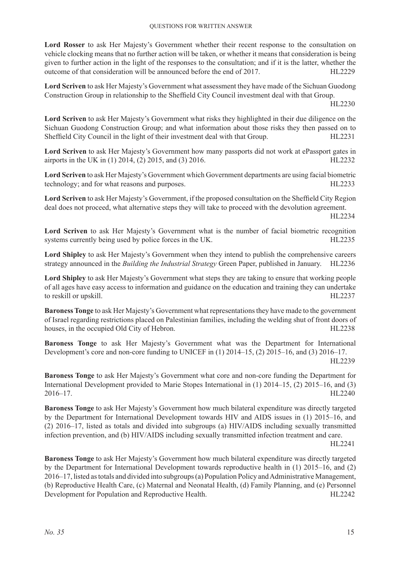Lord Rosser to ask Her Majesty's Government whether their recent response to the consultation on vehicle clocking means that no further action will be taken, or whether it means that consideration is being given to further action in the light of the responses to the consultation; and if it is the latter, whether the outcome of that consideration will be announced before the end of  $2017$ . HL2229

**Lord Scriven** to ask Her Majesty's Government what assessment they have made of the Sichuan Guodong Construction Group in relationship to the Sheffield City Council investment deal with that Group.

HL2230

**Lord Scriven** to ask Her Majesty's Government what risks they highlighted in their due diligence on the Sichuan Guodong Construction Group; and what information about those risks they then passed on to Sheffield City Council in the light of their investment deal with that Group. HL2231

**Lord Scriven** to ask Her Majesty's Government how many passports did not work at ePassport gates in airports in the UK in (1) 2014, (2) 2015, and (3) 2016. HL2232

**Lord Scriven** to ask Her Majesty's Government which Government departments are using facial biometric technology; and for what reasons and purposes. HL2233

**Lord Scriven** to ask Her Majesty's Government, if the proposed consultation on the Sheffield City Region deal does not proceed, what alternative steps they will take to proceed with the devolution agreement.

HL2234

**Lord Scriven** to ask Her Majesty's Government what is the number of facial biometric recognition systems currently being used by police forces in the UK. HL2235

**Lord Shipley** to ask Her Majesty's Government when they intend to publish the comprehensive careers strategy announced in the *Building the Industrial Strategy* Green Paper, published in January. HL2236

**Lord Shipley** to ask Her Majesty's Government what steps they are taking to ensure that working people of all ages have easy access to information and guidance on the education and training they can undertake to reskill or upskill. HL2237

**Baroness Tonge** to ask Her Majesty's Government what representations they have made to the government of Israel regarding restrictions placed on Palestinian families, including the welding shut of front doors of houses, in the occupied Old City of Hebron. HL2238

**Baroness Tonge** to ask Her Majesty's Government what was the Department for International Development's core and non-core funding to UNICEF in (1) 2014–15, (2) 2015–16, and (3) 2016–17. HL2239

**Baroness Tonge** to ask Her Majesty's Government what core and non-core funding the Department for International Development provided to Marie Stopes International in (1) 2014–15, (2) 2015–16, and (3) 2016–17. HL2240

**Baroness Tonge** to ask Her Majesty's Government how much bilateral expenditure was directly targeted by the Department for International Development towards HIV and AIDS issues in (1) 2015–16, and (2) 2016–17, listed as totals and divided into subgroups (a) HIV/AIDS including sexually transmitted infection prevention, and (b) HIV/AIDS including sexually transmitted infection treatment and care.

HL2241

**Baroness Tonge** to ask Her Majesty's Government how much bilateral expenditure was directly targeted by the Department for International Development towards reproductive health in (1) 2015–16, and (2) 2016–17, listed as totals and divided into subgroups (a) Population Policy and Administrative Management, (b) Reproductive Health Care, (c) Maternal and Neonatal Health, (d) Family Planning, and (e) Personnel Development for Population and Reproductive Health. HL2242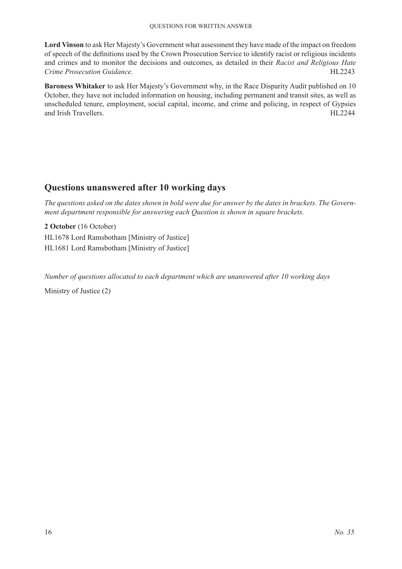**Lord Vinson** to ask Her Majesty's Government what assessment they have made of the impact on freedom of speech of the definitions used by the Crown Prosecution Service to identify racist or religious incidents and crimes and to monitor the decisions and outcomes, as detailed in their *Racist and Religious Hate Crime Prosecution Guidance.* HL2243

**Baroness Whitaker** to ask Her Majesty's Government why, in the Race Disparity Audit published on 10 October, they have not included information on housing, including permanent and transit sites, as well as unscheduled tenure, employment, social capital, income, and crime and policing, in respect of Gypsies and Irish Travellers. HIL2244

### **Questions unanswered after 10 working days**

*The questions asked on the dates shown in bold were due for answer by the dates in brackets. The Government department responsible for answering each Question is shown in square brackets.*

**2 October** (16 October) HL1678 Lord Ramsbotham [Ministry of Justice] HL1681 Lord Ramsbotham [Ministry of Justice]

*Number of questions allocated to each department which are unanswered after 10 working days*

Ministry of Justice (2)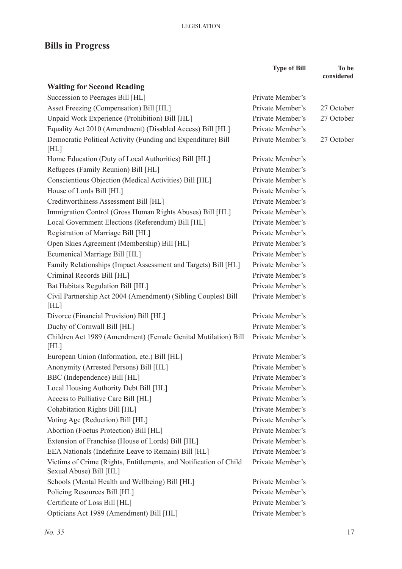# **Bills in Progress**

|                                                                                              | <b>Type of Bill</b> | To be<br>considered |
|----------------------------------------------------------------------------------------------|---------------------|---------------------|
| <b>Waiting for Second Reading</b>                                                            |                     |                     |
| Succession to Peerages Bill [HL]                                                             | Private Member's    |                     |
| Asset Freezing (Compensation) Bill [HL]                                                      | Private Member's    | 27 October          |
| Unpaid Work Experience (Prohibition) Bill [HL]                                               | Private Member's    | 27 October          |
| Equality Act 2010 (Amendment) (Disabled Access) Bill [HL]                                    | Private Member's    |                     |
| Democratic Political Activity (Funding and Expenditure) Bill<br>[HL]                         | Private Member's    | 27 October          |
| Home Education (Duty of Local Authorities) Bill [HL]                                         | Private Member's    |                     |
| Refugees (Family Reunion) Bill [HL]                                                          | Private Member's    |                     |
| Conscientious Objection (Medical Activities) Bill [HL]                                       | Private Member's    |                     |
| House of Lords Bill [HL]                                                                     | Private Member's    |                     |
| Creditworthiness Assessment Bill [HL]                                                        | Private Member's    |                     |
| Immigration Control (Gross Human Rights Abuses) Bill [HL]                                    | Private Member's    |                     |
| Local Government Elections (Referendum) Bill [HL]                                            | Private Member's    |                     |
| Registration of Marriage Bill [HL]                                                           | Private Member's    |                     |
| Open Skies Agreement (Membership) Bill [HL]                                                  | Private Member's    |                     |
| Ecumenical Marriage Bill [HL]                                                                | Private Member's    |                     |
| Family Relationships (Impact Assessment and Targets) Bill [HL]                               | Private Member's    |                     |
| Criminal Records Bill [HL]                                                                   | Private Member's    |                     |
| Bat Habitats Regulation Bill [HL]                                                            | Private Member's    |                     |
| Civil Partnership Act 2004 (Amendment) (Sibling Couples) Bill<br>[HL]                        | Private Member's    |                     |
| Divorce (Financial Provision) Bill [HL]                                                      | Private Member's    |                     |
| Duchy of Cornwall Bill [HL]                                                                  | Private Member's    |                     |
| Children Act 1989 (Amendment) (Female Genital Mutilation) Bill<br>[HL]                       | Private Member's    |                     |
| European Union (Information, etc.) Bill [HL]                                                 | Private Member's    |                     |
| Anonymity (Arrested Persons) Bill [HL]                                                       | Private Member's    |                     |
| BBC (Independence) Bill [HL]                                                                 | Private Member's    |                     |
| Local Housing Authority Debt Bill [HL]                                                       | Private Member's    |                     |
| Access to Palliative Care Bill [HL]                                                          | Private Member's    |                     |
| Cohabitation Rights Bill [HL]                                                                | Private Member's    |                     |
| Voting Age (Reduction) Bill [HL]                                                             | Private Member's    |                     |
| Abortion (Foetus Protection) Bill [HL]                                                       | Private Member's    |                     |
| Extension of Franchise (House of Lords) Bill [HL]                                            | Private Member's    |                     |
| EEA Nationals (Indefinite Leave to Remain) Bill [HL]                                         | Private Member's    |                     |
| Victims of Crime (Rights, Entitlements, and Notification of Child<br>Sexual Abuse) Bill [HL] | Private Member's    |                     |
| Schools (Mental Health and Wellbeing) Bill [HL]                                              | Private Member's    |                     |
| Policing Resources Bill [HL]                                                                 | Private Member's    |                     |
| Certificate of Loss Bill [HL]                                                                | Private Member's    |                     |
| Opticians Act 1989 (Amendment) Bill [HL]                                                     | Private Member's    |                     |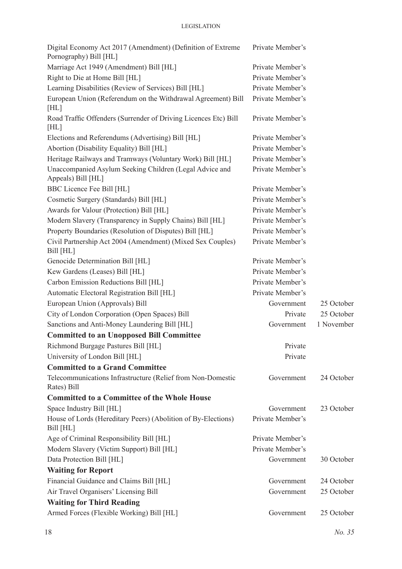#### **LEGISLATION**

| Digital Economy Act 2017 (Amendment) (Definition of Extreme<br>Pornography) Bill [HL] | Private Member's |            |
|---------------------------------------------------------------------------------------|------------------|------------|
| Marriage Act 1949 (Amendment) Bill [HL]                                               | Private Member's |            |
| Right to Die at Home Bill [HL]                                                        | Private Member's |            |
| Learning Disabilities (Review of Services) Bill [HL]                                  | Private Member's |            |
| European Union (Referendum on the Withdrawal Agreement) Bill<br>[HL]                  | Private Member's |            |
| Road Traffic Offenders (Surrender of Driving Licences Etc) Bill<br>[HL]               | Private Member's |            |
| Elections and Referendums (Advertising) Bill [HL]                                     | Private Member's |            |
| Abortion (Disability Equality) Bill [HL]                                              | Private Member's |            |
| Heritage Railways and Tramways (Voluntary Work) Bill [HL]                             | Private Member's |            |
| Unaccompanied Asylum Seeking Children (Legal Advice and<br>Appeals) Bill [HL]         | Private Member's |            |
| BBC Licence Fee Bill [HL]                                                             | Private Member's |            |
| Cosmetic Surgery (Standards) Bill [HL]                                                | Private Member's |            |
| Awards for Valour (Protection) Bill [HL]                                              | Private Member's |            |
| Modern Slavery (Transparency in Supply Chains) Bill [HL]                              | Private Member's |            |
| Property Boundaries (Resolution of Disputes) Bill [HL]                                | Private Member's |            |
| Civil Partnership Act 2004 (Amendment) (Mixed Sex Couples)<br>Bill [HL]               | Private Member's |            |
| Genocide Determination Bill [HL]                                                      | Private Member's |            |
| Kew Gardens (Leases) Bill [HL]                                                        | Private Member's |            |
| Carbon Emission Reductions Bill [HL]                                                  | Private Member's |            |
| Automatic Electoral Registration Bill [HL]                                            | Private Member's |            |
| European Union (Approvals) Bill                                                       | Government       | 25 October |
| City of London Corporation (Open Spaces) Bill                                         | Private          | 25 October |
| Sanctions and Anti-Money Laundering Bill [HL]                                         | Government       | 1 November |
| <b>Committed to an Unopposed Bill Committee</b>                                       |                  |            |
| Richmond Burgage Pastures Bill [HL]                                                   | Private          |            |
| University of London Bill [HL]                                                        | Private          |            |
| <b>Committed to a Grand Committee</b>                                                 |                  |            |
| Telecommunications Infrastructure (Relief from Non-Domestic<br>Rates) Bill            | Government       | 24 October |
| <b>Committed to a Committee of the Whole House</b>                                    |                  |            |
| Space Industry Bill [HL]                                                              | Government       | 23 October |
| House of Lords (Hereditary Peers) (Abolition of By-Elections)<br>Bill [HL]            | Private Member's |            |
| Age of Criminal Responsibility Bill [HL]                                              | Private Member's |            |
| Modern Slavery (Victim Support) Bill [HL]                                             | Private Member's |            |
| Data Protection Bill [HL]                                                             | Government       | 30 October |
| <b>Waiting for Report</b>                                                             |                  |            |
| Financial Guidance and Claims Bill [HL]                                               | Government       | 24 October |
| Air Travel Organisers' Licensing Bill                                                 | Government       | 25 October |
| <b>Waiting for Third Reading</b>                                                      |                  |            |
| Armed Forces (Flexible Working) Bill [HL]                                             | Government       | 25 October |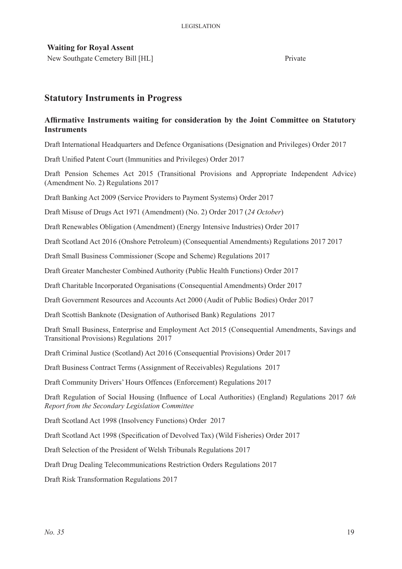#### **Waiting for Royal Assent**

New Southgate Cemetery Bill [HL] Private

#### **Statutory Instruments in Progress**

#### **Affirmative Instruments waiting for consideration by the Joint Committee on Statutory Instruments**

Draft International Headquarters and Defence Organisations (Designation and Privileges) Order 2017

Draft Unified Patent Court (Immunities and Privileges) Order 2017

Draft Pension Schemes Act 2015 (Transitional Provisions and Appropriate Independent Advice) (Amendment No. 2) Regulations 2017

Draft Banking Act 2009 (Service Providers to Payment Systems) Order 2017

Draft Misuse of Drugs Act 1971 (Amendment) (No. 2) Order 2017 (*24 October*)

Draft Renewables Obligation (Amendment) (Energy Intensive Industries) Order 2017

Draft Scotland Act 2016 (Onshore Petroleum) (Consequential Amendments) Regulations 2017 2017

Draft Small Business Commissioner (Scope and Scheme) Regulations 2017

Draft Greater Manchester Combined Authority (Public Health Functions) Order 2017

Draft Charitable Incorporated Organisations (Consequential Amendments) Order 2017

Draft Government Resources and Accounts Act 2000 (Audit of Public Bodies) Order 2017

Draft Scottish Banknote (Designation of Authorised Bank) Regulations 2017

Draft Small Business, Enterprise and Employment Act 2015 (Consequential Amendments, Savings and Transitional Provisions) Regulations 2017

Draft Criminal Justice (Scotland) Act 2016 (Consequential Provisions) Order 2017

Draft Business Contract Terms (Assignment of Receivables) Regulations 2017

Draft Community Drivers' Hours Offences (Enforcement) Regulations 2017

Draft Regulation of Social Housing (Influence of Local Authorities) (England) Regulations 2017 *6th Report from the Secondary Legislation Committee*

Draft Scotland Act 1998 (Insolvency Functions) Order 2017

Draft Scotland Act 1998 (Specification of Devolved Tax) (Wild Fisheries) Order 2017

Draft Selection of the President of Welsh Tribunals Regulations 2017

Draft Drug Dealing Telecommunications Restriction Orders Regulations 2017

Draft Risk Transformation Regulations 2017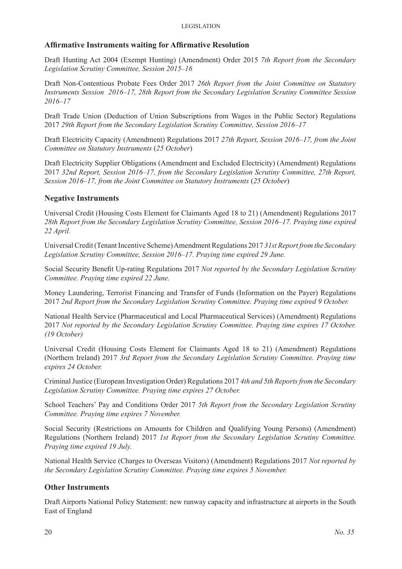#### **Affirmative Instruments waiting for Affirmative Resolution**

Draft Hunting Act 2004 (Exempt Hunting) (Amendment) Order 2015 *7th Report from the Secondary Legislation Scrutiny Committee, Session 2015–16*

Draft Non-Contentious Probate Fees Order 2017 *26th Report from the Joint Committee on Statutory Instruments Session 2016–17, 28th Report from the Secondary Legislation Scrutiny Committee Session 2016–17*

Draft Trade Union (Deduction of Union Subscriptions from Wages in the Public Sector) Regulations 2017 *29th Report from the Secondary Legislation Scrutiny Committee, Session 2016–17*

Draft Electricity Capacity (Amendment) Regulations 2017 *27th Report, Session 2016–17, from the Joint Committee on Statutory Instruments* (*25 October*)

Draft Electricity Supplier Obligations (Amendment and Excluded Electricity) (Amendment) Regulations 2017 *32nd Report, Session 2016–17, from the Secondary Legislation Scrutiny Committee, 27th Report, Session 2016–17, from the Joint Committee on Statutory Instruments* (*25 October*)

#### **Negative Instruments**

Universal Credit (Housing Costs Element for Claimants Aged 18 to 21) (Amendment) Regulations 2017 *28th Report from the Secondary Legislation Scrutiny Committee, Session 2016–17. Praying time expired 22 April.* 

Universal Credit (Tenant Incentive Scheme) Amendment Regulations 2017 *31st Report from the Secondary Legislation Scrutiny Committee, Session 2016–17. Praying time expired 29 June.* 

Social Security Benefit Up-rating Regulations 2017 *Not reported by the Secondary Legislation Scrutiny Committee. Praying time expired 22 June.*

Money Laundering, Terrorist Financing and Transfer of Funds (Information on the Payer) Regulations 2017 *2nd Report from the Secondary Legislation Scrutiny Committee. Praying time expired 9 October.* 

National Health Service (Pharmaceutical and Local Pharmaceutical Services) (Amendment) Regulations 2017 *Not reported by the Secondary Legislation Scrutiny Committee. Praying time expires 17 October. (19 October)*

Universal Credit (Housing Costs Element for Claimants Aged 18 to 21) (Amendment) Regulations (Northern Ireland) 2017 *3rd Report from the Secondary Legislation Scrutiny Committee. Praying time expires 24 October.* 

Criminal Justice (European Investigation Order) Regulations 2017 *4th and 5th Reports from the Secondary Legislation Scrutiny Committee. Praying time expires 27 October.* 

School Teachers' Pay and Conditions Order 2017 *5th Report from the Secondary Legislation Scrutiny Committee. Praying time expires 7 November.* 

Social Security (Restrictions on Amounts for Children and Qualifying Young Persons) (Amendment) Regulations (Northern Ireland) 2017 *1st Report from the Secondary Legislation Scrutiny Committee. Praying time expired 19 July.* 

National Health Service (Charges to Overseas Visitors) (Amendment) Regulations 2017 *Not reported by the Secondary Legislation Scrutiny Committee. Praying time expires 5 November.* 

#### **Other Instruments**

Draft Airports National Policy Statement: new runway capacity and infrastructure at airports in the South East of England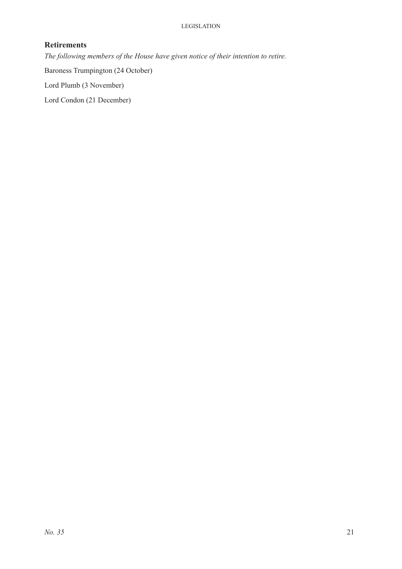#### **Retirements**

*The following members of the House have given notice of their intention to retire.*

Baroness Trumpington (24 October)

Lord Plumb (3 November)

Lord Condon (21 December)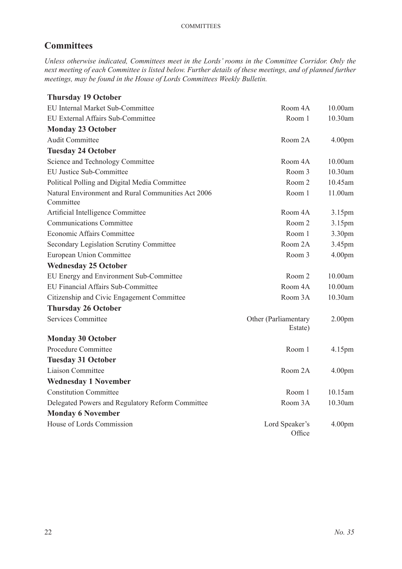# **Committees**

*Unless otherwise indicated, Committees meet in the Lords' rooms in the Committee Corridor. Only the next meeting of each Committee is listed below. Further details of these meetings, and of planned further meetings, may be found in the House of Lords Committees Weekly Bulletin.*

| <b>Thursday 19 October</b>                                      |                                 |                    |
|-----------------------------------------------------------------|---------------------------------|--------------------|
| EU Internal Market Sub-Committee                                | Room 4A                         | 10.00am            |
| EU External Affairs Sub-Committee                               | Room 1                          | 10.30am            |
| <b>Monday 23 October</b>                                        |                                 |                    |
| <b>Audit Committee</b>                                          | Room 2A                         | 4.00 <sub>pm</sub> |
| <b>Tuesday 24 October</b>                                       |                                 |                    |
| Science and Technology Committee                                | Room 4A                         | 10.00am            |
| <b>EU Justice Sub-Committee</b>                                 | Room 3                          | 10.30am            |
| Political Polling and Digital Media Committee                   | Room 2                          | 10.45am            |
| Natural Environment and Rural Communities Act 2006<br>Committee | Room 1                          | 11.00am            |
| Artificial Intelligence Committee                               | Room 4A                         | 3.15pm             |
| <b>Communications Committee</b>                                 | Room 2                          | 3.15pm             |
| <b>Economic Affairs Committee</b>                               | Room 1                          | 3.30pm             |
| Secondary Legislation Scrutiny Committee                        | Room 2A                         | 3.45pm             |
| European Union Committee                                        | Room 3                          | 4.00pm             |
| <b>Wednesday 25 October</b>                                     |                                 |                    |
| EU Energy and Environment Sub-Committee                         | Room 2                          | 10.00am            |
| EU Financial Affairs Sub-Committee                              | Room 4A                         | 10.00am            |
| Citizenship and Civic Engagement Committee                      | Room 3A                         | 10.30am            |
| <b>Thursday 26 October</b>                                      |                                 |                    |
| <b>Services Committee</b>                                       | Other (Parliamentary<br>Estate) | 2.00 <sub>pm</sub> |
| <b>Monday 30 October</b>                                        |                                 |                    |
| Procedure Committee                                             | Room 1                          | 4.15pm             |
| <b>Tuesday 31 October</b>                                       |                                 |                    |
| Liaison Committee                                               | Room 2A                         | 4.00 <sub>pm</sub> |
| <b>Wednesday 1 November</b>                                     |                                 |                    |
| <b>Constitution Committee</b>                                   | Room 1                          | 10.15am            |
| Delegated Powers and Regulatory Reform Committee                | Room 3A                         | 10.30am            |
| <b>Monday 6 November</b>                                        |                                 |                    |
| House of Lords Commission                                       | Lord Speaker's<br>Office        | 4.00 <sub>pm</sub> |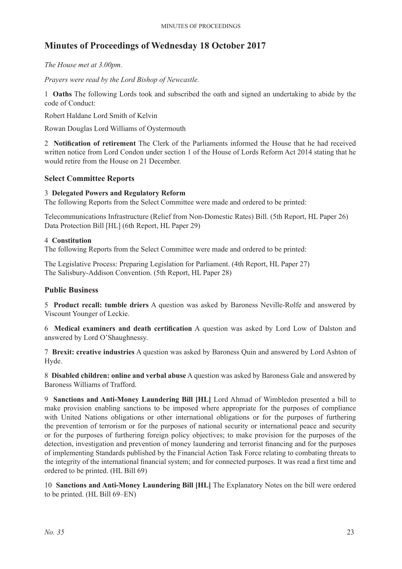# **Minutes of Proceedings of Wednesday 18 October 2017**

*The House met at 3.00pm.*

*Prayers were read by the Lord Bishop of Newcastle.*

1 **Oaths** The following Lords took and subscribed the oath and signed an undertaking to abide by the code of Conduct:

Robert Haldane Lord Smith of Kelvin

Rowan Douglas Lord Williams of Oystermouth

2 **Notification of retirement** The Clerk of the Parliaments informed the House that he had received written notice from Lord Condon under section 1 of the House of Lords Reform Act 2014 stating that he would retire from the House on 21 December.

#### **Select Committee Reports**

#### 3 **Delegated Powers and Regulatory Reform**

The following Reports from the Select Committee were made and ordered to be printed:

Telecommunications Infrastructure (Relief from Non-Domestic Rates) Bill. (5th Report, HL Paper 26) Data Protection Bill [HL] (6th Report, HL Paper 29)

#### 4 **Constitution**

The following Reports from the Select Committee were made and ordered to be printed:

The Legislative Process: Preparing Legislation for Parliament. (4th Report, HL Paper 27) The Salisbury-Addison Convention. (5th Report, HL Paper 28)

#### **Public Business**

5 **Product recall: tumble driers** A question was asked by Baroness Neville-Rolfe and answered by Viscount Younger of Leckie.

6 **Medical examiners and death certification** A question was asked by Lord Low of Dalston and answered by Lord O'Shaughnessy.

7 **Brexit: creative industries** A question was asked by Baroness Quin and answered by Lord Ashton of Hyde.

8 **Disabled children: online and verbal abuse** A question was asked by Baroness Gale and answered by Baroness Williams of Trafford.

9 **Sanctions and Anti-Money Laundering Bill [HL]** Lord Ahmad of Wimbledon presented a bill to make provision enabling sanctions to be imposed where appropriate for the purposes of compliance with United Nations obligations or other international obligations or for the purposes of furthering the prevention of terrorism or for the purposes of national security or international peace and security or for the purposes of furthering foreign policy objectives; to make provision for the purposes of the detection, investigation and prevention of money laundering and terrorist financing and for the purposes of implementing Standards published by the Financial Action Task Force relating to combating threats to the integrity of the international financial system; and for connected purposes. It was read a first time and ordered to be printed. (HL Bill 69)

10 **Sanctions and Anti-Money Laundering Bill [HL]** The Explanatory Notes on the bill were ordered to be printed. (HL Bill 69–EN)